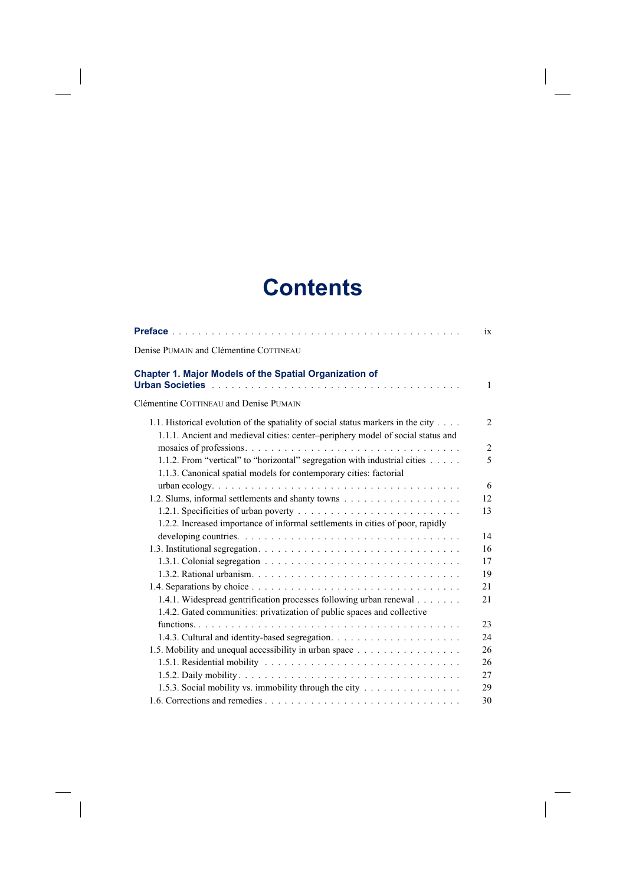## **Contents**

 $\begin{array}{c} \hline \end{array}$ 

 $\begin{array}{c} \hline \end{array}$ 

 $\begin{array}{c} \hline \end{array}$ 

|                                                                                                                                                                     | 1X             |
|---------------------------------------------------------------------------------------------------------------------------------------------------------------------|----------------|
| Denise PUMAIN and Clémentine COTTINEAU                                                                                                                              |                |
| Chapter 1. Major Models of the Spatial Organization of                                                                                                              | 1              |
| Clémentine COTTINEAU and Denise PUMAIN                                                                                                                              |                |
| 1.1. Historical evolution of the spatiality of social status markers in the city<br>1.1.1. Ancient and medieval cities: center-periphery model of social status and | 2              |
|                                                                                                                                                                     | $\overline{c}$ |
| 1.1.2. From "vertical" to "horizontal" segregation with industrial cities<br>1.1.3. Canonical spatial models for contemporary cities: factorial                     | 5              |
|                                                                                                                                                                     | 6              |
|                                                                                                                                                                     | 12             |
|                                                                                                                                                                     | 13             |
| 1.2.2. Increased importance of informal settlements in cities of poor, rapidly                                                                                      |                |
|                                                                                                                                                                     | 14             |
|                                                                                                                                                                     | 16             |
|                                                                                                                                                                     | 17             |
|                                                                                                                                                                     | 19             |
|                                                                                                                                                                     | 21             |
| 1.4.1. Widespread gentrification processes following urban renewal                                                                                                  | 21             |
| 1.4.2. Gated communities: privatization of public spaces and collective                                                                                             |                |
|                                                                                                                                                                     | 23             |
|                                                                                                                                                                     | 24             |
| 1.5. Mobility and unequal accessibility in urban space                                                                                                              | 26             |
|                                                                                                                                                                     | 26             |
|                                                                                                                                                                     | 27             |
| 1.5.3. Social mobility vs. immobility through the city                                                                                                              | 29             |
|                                                                                                                                                                     | 30             |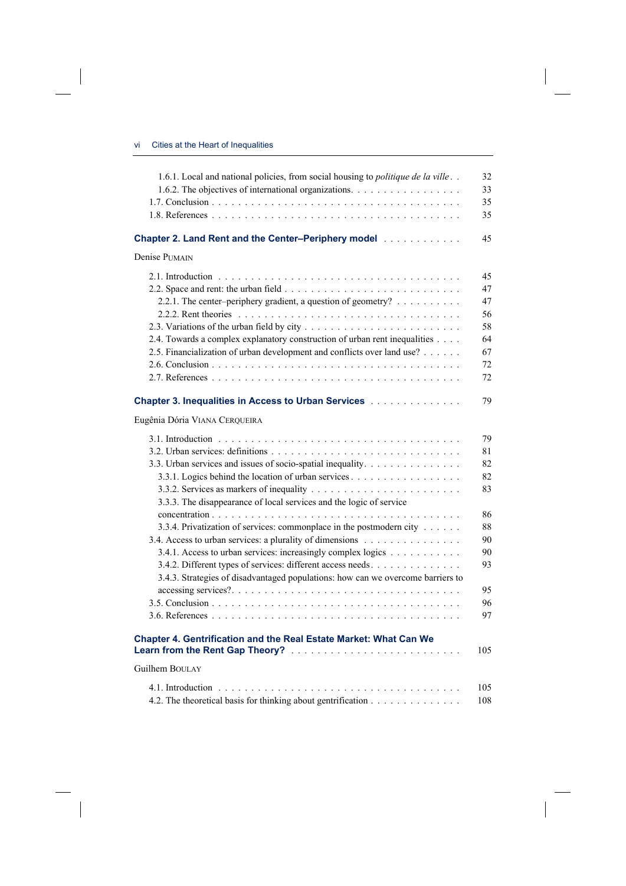$\overline{\phantom{a}}$ 

 $\begin{array}{c} \hline \end{array}$ 

| 1.6.1. Local and national policies, from social housing to politique de la ville                                  | 32  |
|-------------------------------------------------------------------------------------------------------------------|-----|
| 1.6.2. The objectives of international organizations.                                                             | 33  |
|                                                                                                                   | 35  |
|                                                                                                                   | 35  |
| Chapter 2. Land Rent and the Center-Periphery model [11] [11] Chapter 2. Land Rent and the Center-Periphery model | 45  |
| Denise PUMAIN                                                                                                     |     |
|                                                                                                                   | 45  |
|                                                                                                                   | 47  |
| 2.2.1. The center-periphery gradient, a question of geometry?                                                     | 47  |
|                                                                                                                   | 56  |
|                                                                                                                   | 58  |
| 2.4. Towards a complex explanatory construction of urban rent inequalities                                        | 64  |
| 2.5. Financialization of urban development and conflicts over land use?                                           | 67  |
|                                                                                                                   | 72  |
|                                                                                                                   | 72  |
| Chapter 3. Inequalities in Access to Urban Services [11] [11] Chapter 3. Incomendation of the Service School      | 79  |
| Eugênia Dória VIANA CERQUEIRA                                                                                     |     |
|                                                                                                                   | 79  |
|                                                                                                                   | 81  |
| 3.3. Urban services and issues of socio-spatial inequality.                                                       | 82  |
|                                                                                                                   | 82  |
|                                                                                                                   | 83  |
| 3.3.3. The disappearance of local services and the logic of service                                               |     |
|                                                                                                                   | 86  |
| 3.3.4. Privatization of services: commonplace in the postmodern city                                              | 88  |
| 3.4. Access to urban services: a plurality of dimensions                                                          | 90  |
| 3.4.1. Access to urban services: increasingly complex logics                                                      | 90  |
| 3.4.2. Different types of services: different access needs.                                                       | 93  |
| 3.4.3. Strategies of disadvantaged populations: how can we overcome barriers to                                   |     |
|                                                                                                                   | 95  |
|                                                                                                                   | 96  |
|                                                                                                                   | 97  |
| Chapter 4. Gentrification and the Real Estate Market: What Can We<br>Learn from the Rent Gap Theory?              | 105 |
| Guilhem BOULAY                                                                                                    |     |
|                                                                                                                   |     |
| 4.2. The theoretical basis for thinking about gentrification                                                      | 105 |
|                                                                                                                   | 108 |

 $\overline{\phantom{a}}$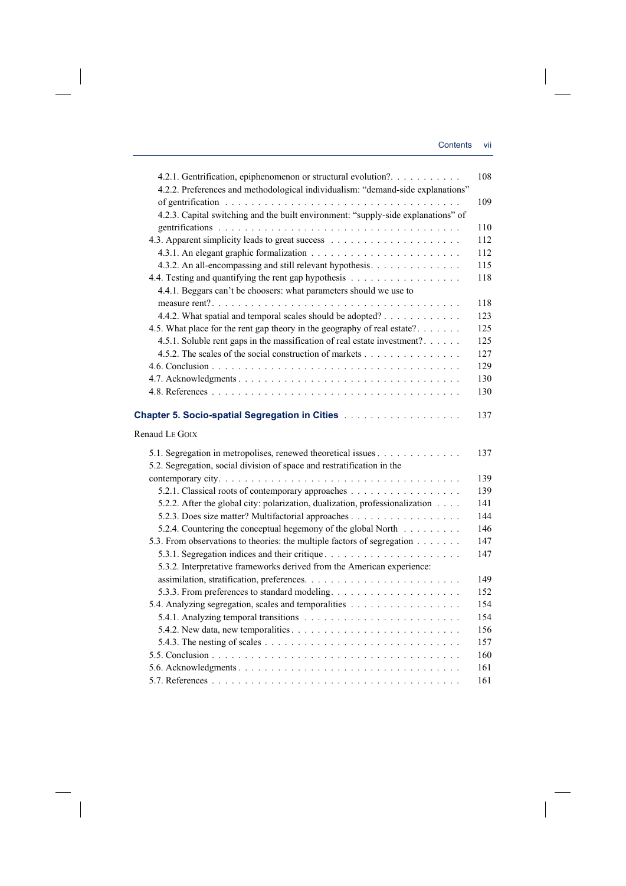| 4.2.1. Gentrification, epiphenomenon or structural evolution?.                    | 108 |
|-----------------------------------------------------------------------------------|-----|
| 4.2.2. Preferences and methodological individualism: "demand-side explanations"   |     |
|                                                                                   | 109 |
| 4.2.3. Capital switching and the built environment: "supply-side explanations" of |     |
|                                                                                   | 110 |
|                                                                                   | 112 |
|                                                                                   | 112 |
| 4.3.2. An all-encompassing and still relevant hypothesis.                         | 115 |
| 4.4. Testing and quantifying the rent gap hypothesis                              | 118 |
| 4.4.1. Beggars can't be choosers: what parameters should we use to                |     |
|                                                                                   | 118 |
| 4.4.2. What spatial and temporal scales should be adopted?                        | 123 |
| 4.5. What place for the rent gap theory in the geography of real estate?          | 125 |
| 4.5.1. Soluble rent gaps in the massification of real estate investment?          | 125 |
| 4.5.2. The scales of the social construction of markets                           | 127 |
|                                                                                   | 129 |
|                                                                                   | 130 |
|                                                                                   | 130 |
|                                                                                   |     |
|                                                                                   | 137 |
| Renaud LE GOIX                                                                    |     |
|                                                                                   |     |
| 5.1. Segregation in metropolises, renewed theoretical issues                      | 137 |
| 5.2. Segregation, social division of space and restratification in the            |     |
|                                                                                   | 139 |
|                                                                                   | 139 |
| 5.2.2. After the global city: polarization, dualization, professionalization      | 141 |
|                                                                                   | 144 |
| 5.2.4. Countering the conceptual hegemony of the global North                     | 146 |
| 5.3. From observations to theories: the multiple factors of segregation           | 147 |
|                                                                                   | 147 |
| 5.3.2. Interpretative frameworks derived from the American experience:            |     |
|                                                                                   | 149 |
|                                                                                   | 152 |
| 5.4. Analyzing segregation, scales and temporalities                              | 154 |
|                                                                                   | 154 |
|                                                                                   | 156 |
|                                                                                   | 157 |
|                                                                                   | 160 |
|                                                                                   | 161 |
|                                                                                   | 161 |

 $\overline{\phantom{a}}$